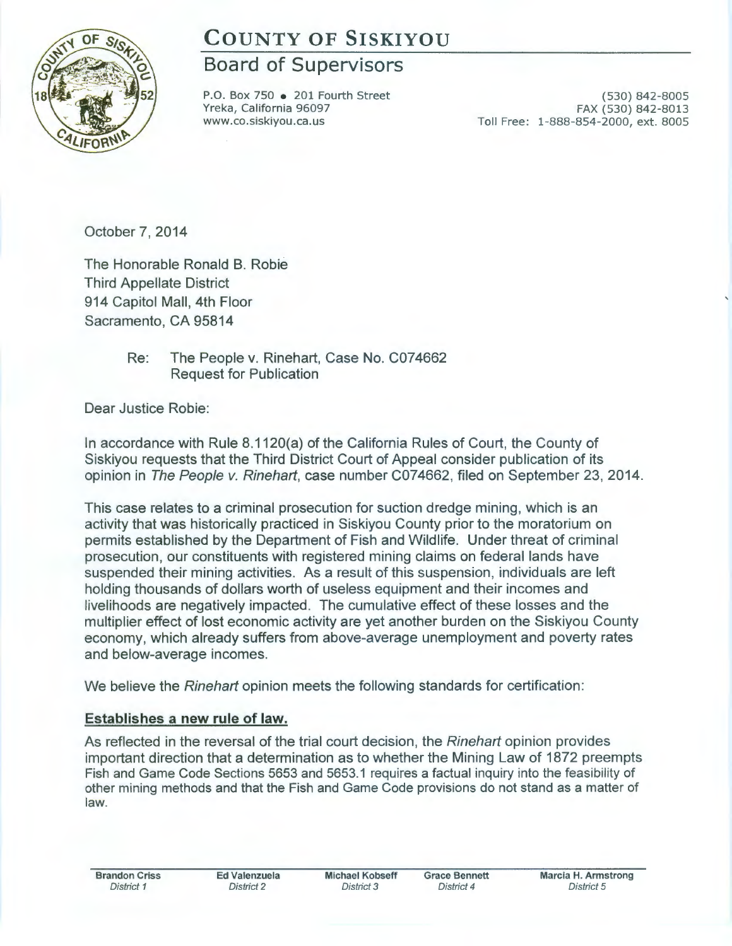# **COUNTY OF SISKIYOU**

## **Board of Supervisors**

P.O. Box 750 • 201 Fourth Street Yreka, California 96097 www.co.siskiyou.ca.us

(530) 842-8005 FAX (530) 842-8013 Toll Free: 1-888-854-2000, ext. 8005

October 7, 2014

The Honorable Ronald B. Robie Third Appellate District 914 Capitol Mall, 4th Floor Sacramento, CA 95814

> Re: The People v. Rinehart, Case No. C074662 Request for Publication

Dear Justice Robie:

In accordance with Rule 8.1120(a) of the California Rules of Court, the County of Siskiyou requests that the Third District Court of Appeal consider publication of its opinion in The People v. Rinehart, case number C074662, filed on September 23, 2014.

This case relates to a criminal prosecution for suction dredge mining, which is an activity that was historically practiced in Siskiyou County prior to the moratorium on permits established by the Department of Fish and Wildlife. Under threat of criminal prosecution, our constituents with registered mining claims on federal lands have suspended their mining activities. As a result of this suspension, individuals are left holding thousands of dollars worth of useless equipment and their incomes and livelihoods are negatively impacted. The cumulative effect of these losses and the multiplier effect of lost economic activity are yet another burden on the Siskiyou County economy, which already suffers from above-average unemployment and poverty rates and below-average incomes.

We believe the Rinehart opinion meets the following standards for certification:

### **Establishes a new rule of law.**

As reflected in the reversal of the trial court decision, the *Rinehart* opinion provides important direction that a determination as to whether the Mining Law of 1872 preempts Fish and Game Code Sections 5653 and 5653.1 requires a factual inquiry into the feasibility of other mining methods and that the Fish and Game Code provisions do not stand as a matter of law.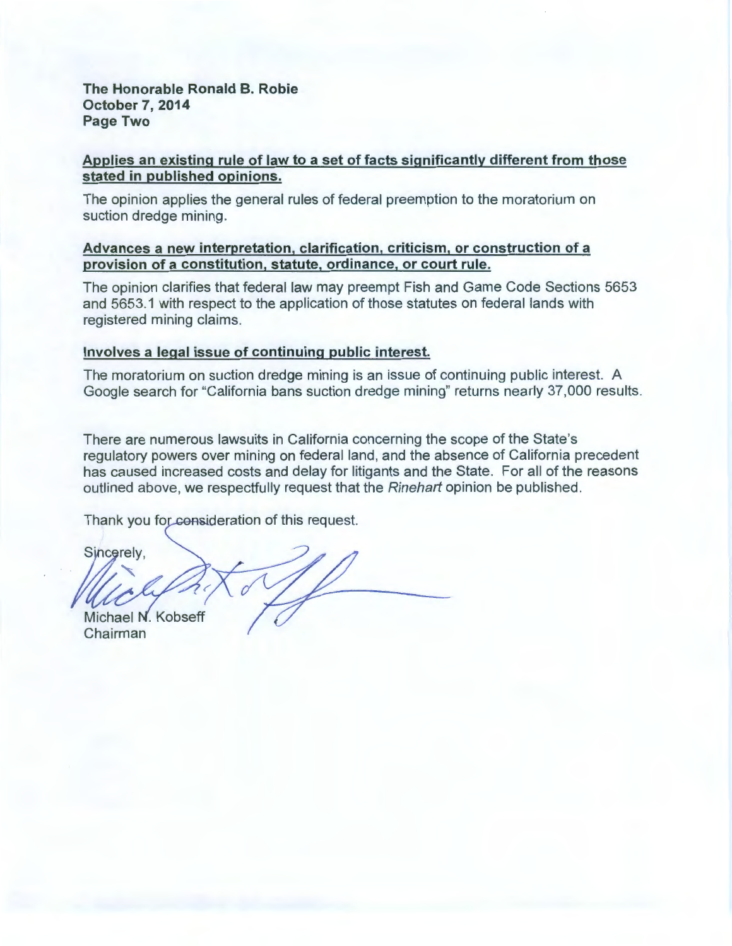#### **The Honorable Ronald B. Robie October 7, 2014 Page Two**

#### **Applies an existing rule of law to a set of facts significantly different from those stated in published opinions.**

The opinion applies the general rules of federal preemption to the moratorium on suction dredge mining.

#### **Advances a new interpretation, clarification, criticism, or construction of a provision of a constitution, statute, ordinance, or court rule.**

The opinion clarifies that federal law may preempt Fish and Game Code Sections 5653 and 5653.1 with respect to the application of those statutes on federal lands with registered mining claims.

#### **Involves a legal issue of continuing public interest.**

The moratorium on suction dredge mining is an issue of continuing public interest. A Google search for "California bans suction dredge mining" returns nearly 37,000 results.

There are numerous lawsuits in California concerning the scope of the State's regulatory powers over mining on federal land, and the absence of California precedent has caused increased costs and delay for litigants and the State. For all of the reasons outlined above, we respectfully request that the Rinehart opinion be published.

Thank you for consideration of this request.

Sincerely. Michael N. Kobseff Chairman